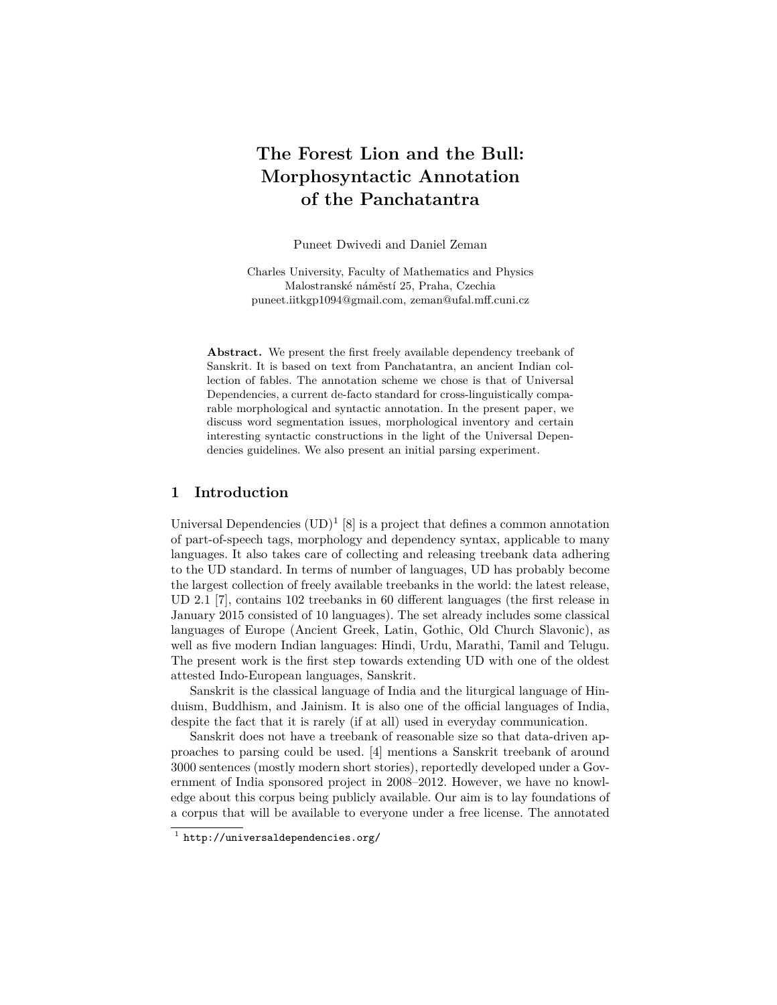# **The Forest Lion and the Bull: Morphosyntactic Annotation of the Panchatantra**

Puneet Dwivedi and Daniel Zeman

Charles University, Faculty of Mathematics and Physics Malostranské náměstí 25, Praha, Czechia puneet.iitkgp1094@gmail.com, zeman@ufal.mff.cuni.cz

**Abstract.** We present the first freely available dependency treebank of Sanskrit. It is based on text from Panchatantra, an ancient Indian collection of fables. The annotation scheme we chose is that of Universal Dependencies, a current de-facto standard for cross-linguistically comparable morphological and syntactic annotation. In the present paper, we discuss word segmentation issues, morphological inventory and certain interesting syntactic constructions in the light of the Universal Dependencies guidelines. We also present an initial parsing experiment.

#### **1 Introduction**

Universal Dependencies  $(UD)^1$  [8] is a project that defines a common annotation of part-of-speech tags, morphology and dependency syntax, applicable to many languages. It also takes care of collecting and releasing treebank data adhering to the UD standard. In terms of number of languages, UD has probably become the largest collection of freely available treebanks in the world: the latest release, UD 2.1 [7], contains 102 treebanks in 60 different languages (the first release in January 2015 consisted of 10 languages). The set already includes some classical languages of Europe (Ancient Greek, Latin, Gothic, Old Church Slavonic), as well as five modern Indian languages: Hindi, Urdu, Marathi, Tamil and Telugu. The present work is the first step towards extending UD with one of the oldest attested Indo-European languages, Sanskrit.

Sanskrit is the classical language of India and the liturgical language of Hinduism, Buddhism, and Jainism. It is also one of the official languages of India, despite the fact that it is rarely (if at all) used in everyday communication.

Sanskrit does not have a treebank of reasonable size so that data-driven approaches to parsing could be used. [4] mentions a Sanskrit treebank of around 3000 sentences (mostly modern short stories), reportedly developed under a Government of India sponsored project in 2008–2012. However, we have no knowledge about this corpus being publicly available. Our aim is to lay foundations of a corpus that will be available to everyone under a free license. The annotated

 $1$  http://universaldependencies.org/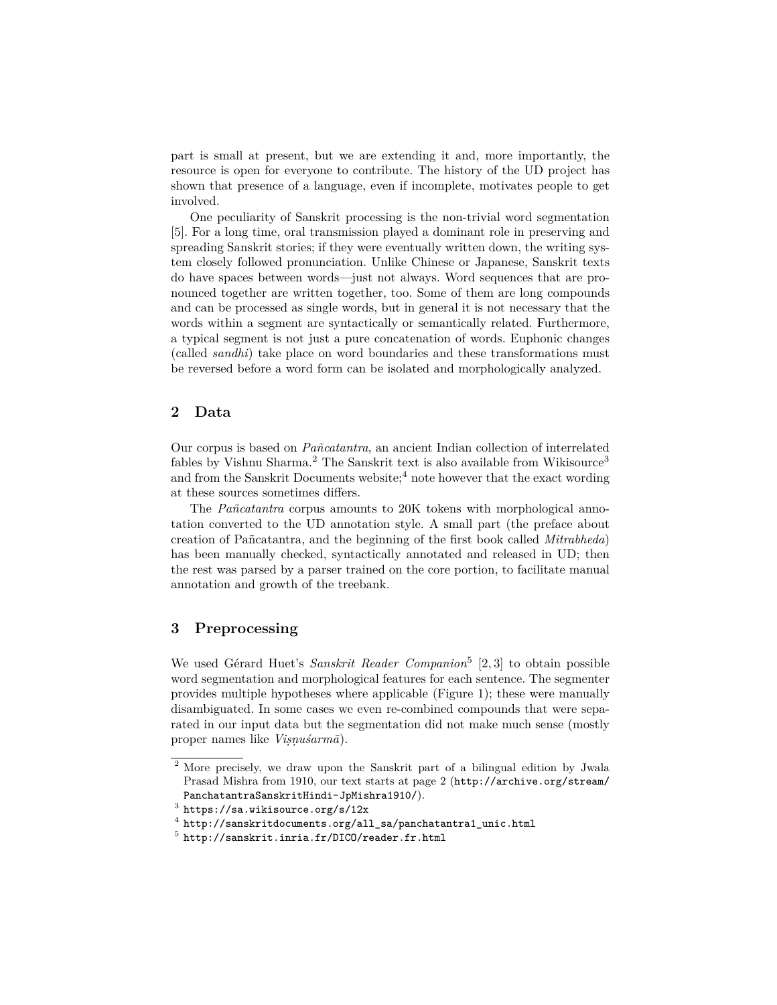part is small at present, but we are extending it and, more importantly, the resource is open for everyone to contribute. The history of the UD project has shown that presence of a language, even if incomplete, motivates people to get involved.

One peculiarity of Sanskrit processing is the non-trivial word segmentation [5]. For a long time, oral transmission played a dominant role in preserving and spreading Sanskrit stories; if they were eventually written down, the writing system closely followed pronunciation. Unlike Chinese or Japanese, Sanskrit texts do have spaces between words—just not always. Word sequences that are pronounced together are written together, too. Some of them are long compounds and can be processed as single words, but in general it is not necessary that the words within a segment are syntactically or semantically related. Furthermore, a typical segment is not just a pure concatenation of words. Euphonic changes (called *sandhi*) take place on word boundaries and these transformations must be reversed before a word form can be isolated and morphologically analyzed.

## **2 Data**

Our corpus is based on *Pañcatantra*, an ancient Indian collection of interrelated fables by Vishnu Sharma.<sup>2</sup> The Sanskrit text is also available from Wikisource<sup>3</sup> and from the Sanskrit Documents website;<sup>4</sup> note however that the exact wording at these sources sometimes differs.

The *Pañcatantra* corpus amounts to 20K tokens with morphological annotation converted to the UD annotation style. A small part (the preface about creation of Pañcatantra, and the beginning of the first book called *Mitrabheda*) has been manually checked, syntactically annotated and released in UD; then the rest was parsed by a parser trained on the core portion, to facilitate manual annotation and growth of the treebank.

#### **3 Preprocessing**

We used Gérard Huet's *Sanskrit Reader Companion*<sup>5</sup> [2, 3] to obtain possible word segmentation and morphological features for each sentence. The segmenter provides multiple hypotheses where applicable (Figure 1); these were manually disambiguated. In some cases we even re-combined compounds that were separated in our input data but the segmentation did not make much sense (mostly proper names like *Viṣṇuśarmā*).

<sup>2</sup> More precisely, we draw upon the Sanskrit part of a bilingual edition by Jwala Prasad Mishra from 1910, our text starts at page 2 (http://archive.org/stream/ PanchatantraSanskritHindi-JpMishra1910/).

 $^3$  https://sa.wikisource.org/s/12x

<sup>4</sup> http://sanskritdocuments.org/all\_sa/panchatantra1\_unic.html

 $^5$  http://sanskrit.inria.fr/DICO/reader.fr.html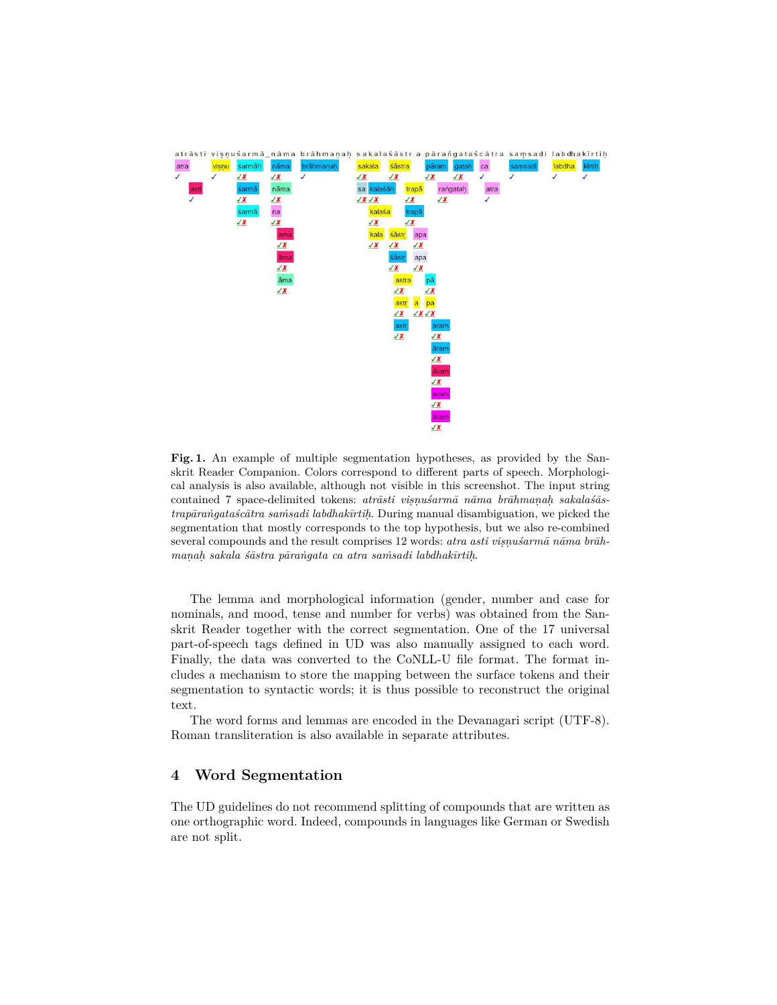

**Fig. 1.** An example of multiple segmentation hypotheses, as provided by the Sanskrit Reader Companion. Colors correspond to different parts of speech. Morphological analysis is also available, although not visible in this screenshot. The input string contained 7 space-delimited tokens: *atrāsti viṣṇuśarmā nāma brāhmaṇaḥ sakalaśāstrapāraṅgataścātra saṁsadi labdhakīrtiḥ*. During manual disambiguation, we picked the segmentation that mostly corresponds to the top hypothesis, but we also re-combined several compounds and the result comprises 12 words: *atra asti viṣṇuśarmā nāma brāhmaṇaḥ sakala śāstra pāraṅgata ca atra saṁsadi labdhakīrtiḥ*.

The lemma and morphological information (gender, number and case for nominals, and mood, tense and number for verbs) was obtained from the Sanskrit Reader together with the correct segmentation. One of the 17 universal part-of-speech tags defined in UD was also manually assigned to each word. Finally, the data was converted to the CoNLL-U file format. The format includes a mechanism to store the mapping between the surface tokens and their segmentation to syntactic words; it is thus possible to reconstruct the original text.

The word forms and lemmas are encoded in the Devanagari script (UTF-8). Roman transliteration is also available in separate attributes.

#### **4 Word Segmentation**

The UD guidelines do not recommend splitting of compounds that are written as one orthographic word. Indeed, compounds in languages like German or Swedish are not split.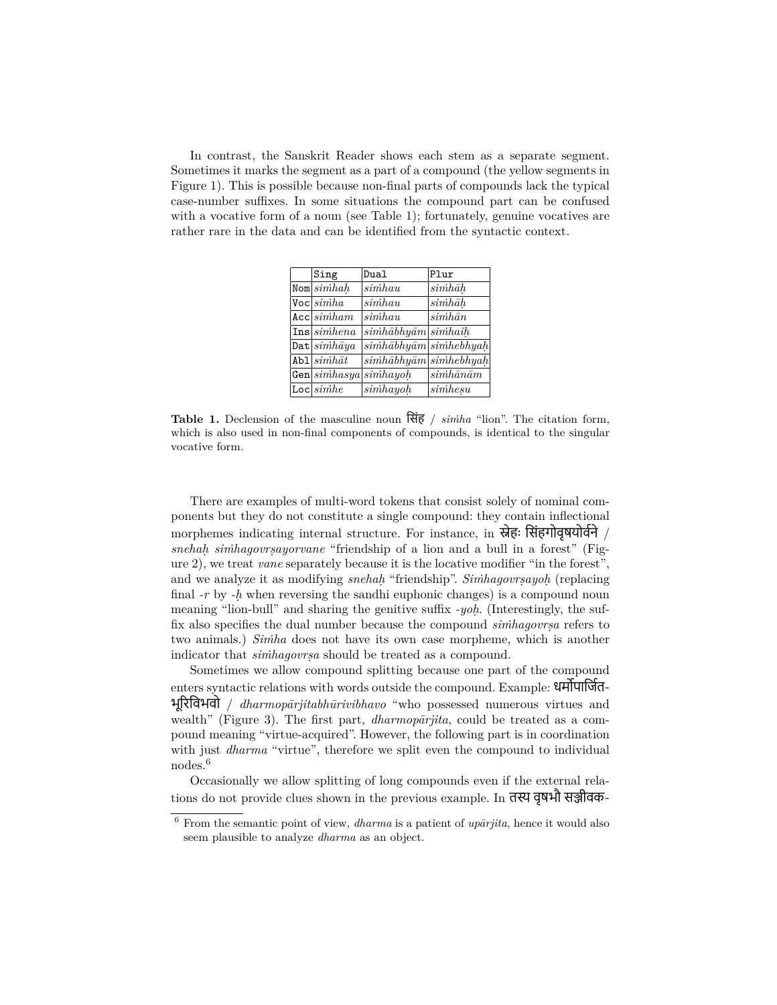In contrast, the Sanskrit Reader shows each stem as a separate segment. Sometimes it marks the segment as a part of a compound (the yellow segments in Figure 1). This is possible because non-final parts of compounds lack the typical case-number suffixes. In some situations the compound part can be confused with a vocative form of a noun (see Table 1); fortunately, genuine vocatives are rather rare in the data and can be identified from the syntactic context.

| Sing                    | Dual                                   | Plur                    |
|-------------------------|----------------------------------------|-------------------------|
| $\texttt{Nom}   simhah$ | $\sinh au$                             | $sinh\bar{a}h$          |
| $\text{Voc}   simha$    | $\sinh au$                             | $sinh\bar{a}h$          |
| Acc simham              | $\sinh au$                             | $\sinh\bar{a}n$         |
| Ins sinhena             | $\sinh\bar{a}bh\bar{u}$ simhaih        |                         |
| Dat $\sinh\bar{a}ya$    | $\sinh\bar{a}bh\bar{u}$ simhebhyah     |                         |
| $Ab1\sim\sinh\bar{a}t$  | $\sinh\bar{a}bhy\bar{a}m\sinh e bhyah$ |                         |
| Gen simhasya            | $\overline{sim}$ hayoh                 | $\sinh\bar{a}n\bar{a}m$ |
| Loc  <i>simple</i>      | $\overline{sim}$ hayoh                 | simhesu                 |
|                         |                                        |                         |

**Table 1.** Declension of the masculine noun िसंह / *siṁha* "lion". The citation form, which is also used in non-final components of compounds, is identical to the singular vocative form.

There are examples of multi-word tokens that consist solely of nominal components but they do not constitute a single compound: they contain inflectional morphemes indicating internal structure. For instance, in स्नेहः सिंहगोवृषयोवने / *snehaḥ siṁhagovrṣayorvane* "friendship of a lion and a bull in a forest" (Figure 2), we treat *vane* separately because it is the locative modifier "in the forest", and we analyze it as modifying *snehaḥ* "friendship". *Siṁhagovrṣayoḥ* (replacing final *-r* by *-ḥ* when reversing the sandhi euphonic changes) is a compound noun meaning "lion-bull" and sharing the genitive suffix *-yoḥ*. (Interestingly, the suffix also specifies the dual number because the compound *siṁhagovrṣa* refers to two animals.) *Siṁha* does not have its own case morpheme, which is another indicator that *siṁhagovrṣa* should be treated as a compound.

Sometimes we allow compound splitting because one part of the compound enters syntactic relations with words outside the compound. Example: धमोपाजित-भूįरिवभवो / *dharmopārjitabhūrivibhavo* "who possessed numerous virtues and wealth" (Figure 3). The first part, *dharmopārjita*, could be treated as a compound meaning "virtue-acquired". However, the following part is in coordination with just *dharma* "virtue", therefore we split even the compound to individual nodes.<sup>6</sup>

Occasionally we allow splitting of long compounds even if the external relations do not provide clues shown in the previous example. In तस्य वृषभौ सञ्जीवक-

<sup>6</sup> From the semantic point of view, *dharma* is a patient of *upārjita*, hence it would also seem plausible to analyze *dharma* as an object.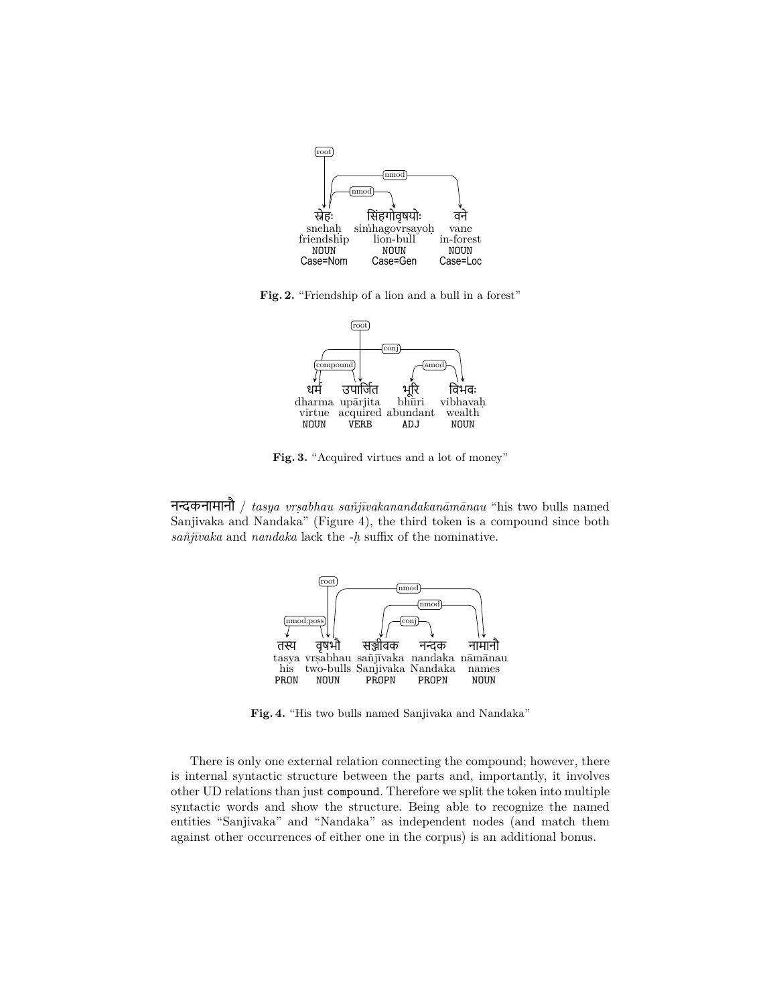

**Fig. 2.** "Friendship of a lion and a bull in a forest"



**Fig. 3.** "Acquired virtues and a lot of money"

नȽकनामानौ / *tasya vrṣabhau sañjīvakanandakanāmānau* "his two bulls named Sanjivaka and Nandaka" (Figure 4), the third token is a compound since both *sañjīvaka* and *nandaka* lack the *-ḥ* suffix of the nominative.



**Fig. 4.** "His two bulls named Sanjivaka and Nandaka"

There is only one external relation connecting the compound; however, there is internal syntactic structure between the parts and, importantly, it involves other UD relations than just compound. Therefore we split the token into multiple syntactic words and show the structure. Being able to recognize the named entities "Sanjivaka" and "Nandaka" as independent nodes (and match them against other occurrences of either one in the corpus) is an additional bonus.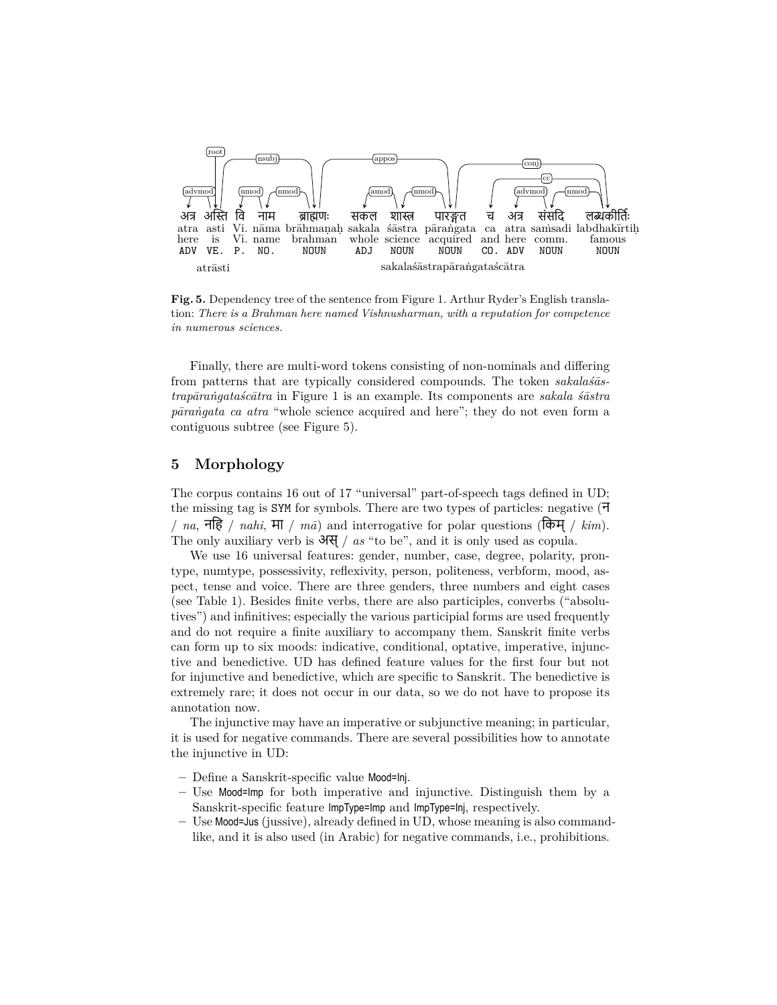

**Fig. 5.** Dependency tree of the sentence from Figure 1. Arthur Ryder's English translation: *There is a Brahman here named Vishnusharman, with a reputation for competence in numerous sciences.*

Finally, there are multi-word tokens consisting of non-nominals and differing from patterns that are typically considered compounds. The token *sakalaśāstrapāraṅgataścātra* in Figure 1 is an example. Its components are *sakala śāstra pāraṅgata ca atra* "whole science acquired and here"; they do not even form a contiguous subtree (see Figure 5).

## **5 Morphology**

The corpus contains 16 out of 17 "universal" part-of-speech tags defined in UD; the missing tag is SYM for symbols. There are two types of particles: negative (न / *na*, निह / *nahi*, मा / *mā*) and interrogative for polar questions (िकम् / *kim*). The only auxiliary verb is अस्/ *as* "to be", and it is only used as copula.

We use 16 universal features: gender, number, case, degree, polarity, prontype, numtype, possessivity, reflexivity, person, politeness, verbform, mood, aspect, tense and voice. There are three genders, three numbers and eight cases (see Table 1). Besides finite verbs, there are also participles, converbs ("absolutives") and infinitives; especially the various participial forms are used frequently and do not require a finite auxiliary to accompany them. Sanskrit finite verbs can form up to six moods: indicative, conditional, optative, imperative, injunctive and benedictive. UD has defined feature values for the first four but not for injunctive and benedictive, which are specific to Sanskrit. The benedictive is extremely rare; it does not occur in our data, so we do not have to propose its annotation now.

The injunctive may have an imperative or subjunctive meaning; in particular, it is used for negative commands. There are several possibilities how to annotate the injunctive in UD:

- **–** Define a Sanskrit-specific value Mood=Inj.
- **–** Use Mood=Imp for both imperative and injunctive. Distinguish them by a Sanskrit-specific feature ImpType=Imp and ImpType=Inj, respectively.
- **–** Use Mood=Jus (jussive), already defined in UD, whose meaning is also commandlike, and it is also used (in Arabic) for negative commands, i.e., prohibitions.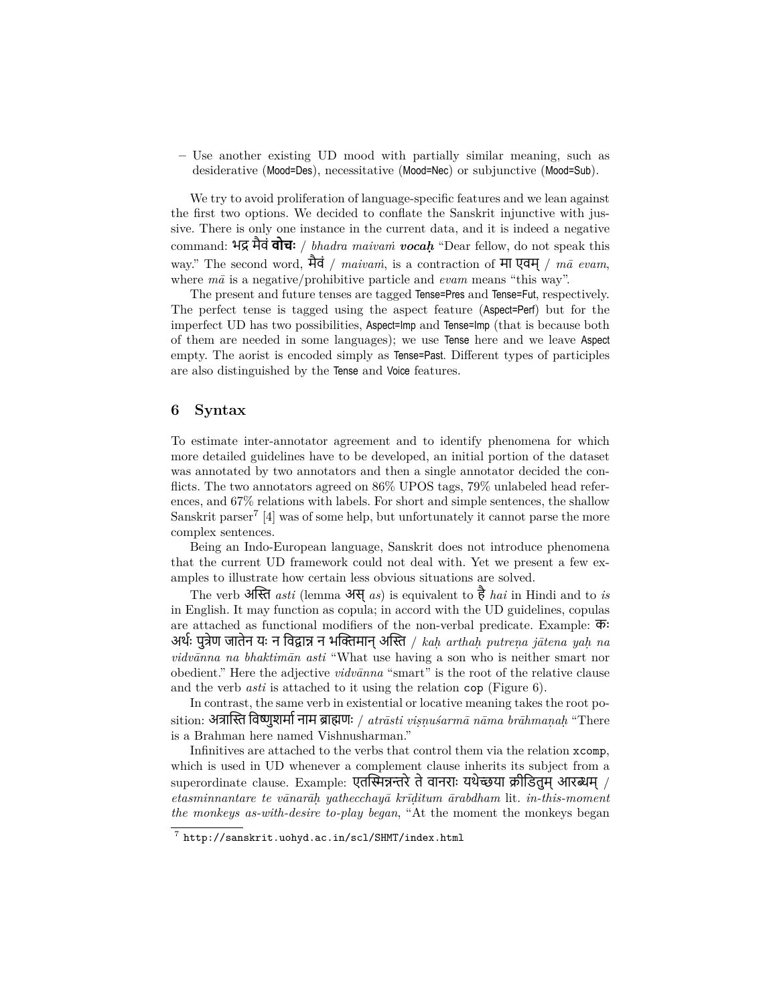**–** Use another existing UD mood with partially similar meaning, such as desiderative (Mood=Des), necessitative (Mood=Nec) or subjunctive (Mood=Sub).

We try to avoid proliferation of language-specific features and we lean against the first two options. We decided to conflate the Sanskrit injunctive with jussive. There is only one instance in the current data, and it is indeed a negative command: भū मैवं **वोचः** / *bhadra maivaṁ vocaḥ* "Dear fellow, do not speak this way." The second word, मैवं / *maivaṁ*, is a contraction of मा एवम् / *mā evam*, where *mā* is a negative/prohibitive particle and *evam* means "this way".

The present and future tenses are tagged Tense=Pres and Tense=Fut, respectively. The perfect tense is tagged using the aspect feature (Aspect=Perf) but for the imperfect UD has two possibilities, Aspect=Imp and Tense=Imp (that is because both of them are needed in some languages); we use Tense here and we leave Aspect empty. The aorist is encoded simply as Tense=Past. Different types of participles are also distinguished by the Tense and Voice features.

#### **6 Syntax**

To estimate inter-annotator agreement and to identify phenomena for which more detailed guidelines have to be developed, an initial portion of the dataset was annotated by two annotators and then a single annotator decided the conflicts. The two annotators agreed on 86% UPOS tags, 79% unlabeled head references, and 67% relations with labels. For short and simple sentences, the shallow Sanskrit parser<sup>7</sup> [4] was of some help, but unfortunately it cannot parse the more complex sentences.

Being an Indo-European language, Sanskrit does not introduce phenomena that the current UD framework could not deal with. Yet we present a few examples to illustrate how certain less obvious situations are solved.

The verb अİˑ *asti* (lemma अस्*as*) is equivalent to है*hai* in Hindi and to *is* in English. It may function as copula; in accord with the UD guidelines, copulas are attached as functional modifiers of the non-verbal predicate. Example:  $\overline{\Phi}$ : अर्थः पुत्रेण जातेन यः न विद्वान्न न भक्तिमान अस्ति */ kah arthah putrena jātena yah na vidvānna na bhaktimān asti* "What use having a son who is neither smart nor obedient." Here the adjective *vidvānna* "smart" is the root of the relative clause and the verb *asti* is attached to it using the relation cop (Figure 6).

In contrast, the same verb in existential or locative meaning takes the root position: अत्रास्ति विष्णुशर्मा नाम ब्राह्मणः / *atrāsti visnuśarmā nāma brāhmanah* "There is a Brahman here named Vishnusharman."

Infinitives are attached to the verbs that control them via the relation xcomp, which is used in UD whenever a complement clause inherits its subject from a superordinate clause. Example: एतस्मिन्नन्तरे ते वानराः यथेच्छया क्रीडितुम् आरब्धम् / *etasminnantare te vānarāḥ yathecchayā krīḍitum ārabdham* lit. *in-this-moment the monkeys as-with-desire to-play began*, "At the moment the monkeys began

<sup>7</sup> http://sanskrit.uohyd.ac.in/scl/SHMT/index.html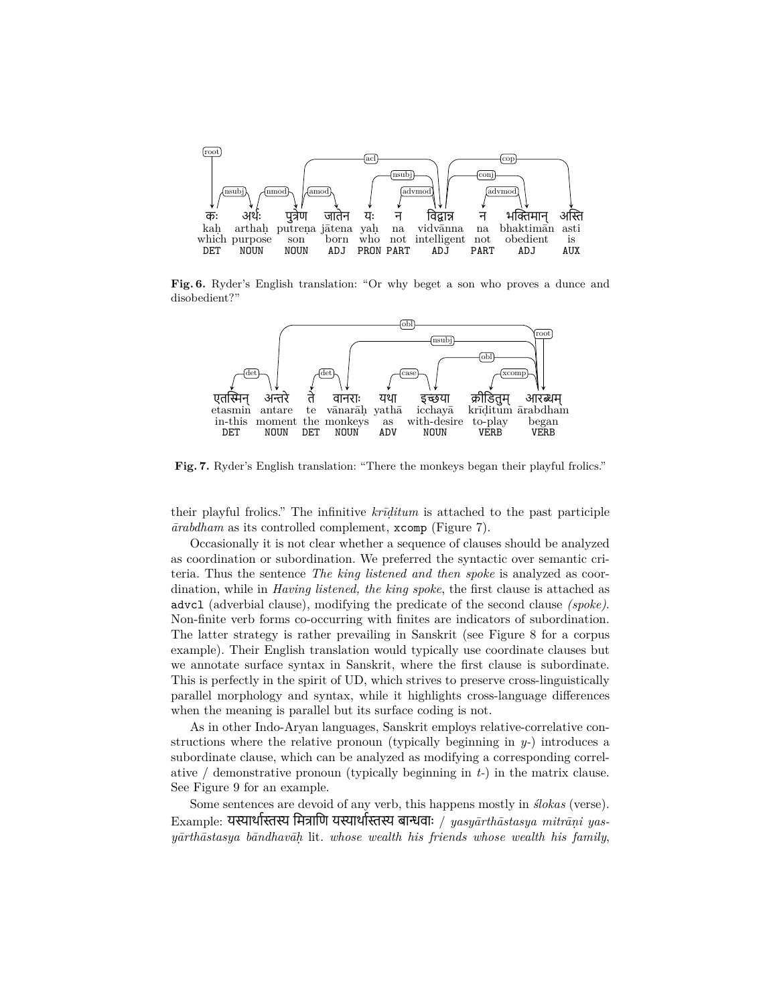

**Fig. 6.** Ryder's English translation: "Or why beget a son who proves a dunce and disobedient?"



**Fig. 7.** Ryder's English translation: "There the monkeys began their playful frolics."

their playful frolics." The infinitive *krīḍitum* is attached to the past participle *ārabdham* as its controlled complement, xcomp (Figure 7).

Occasionally it is not clear whether a sequence of clauses should be analyzed as coordination or subordination. We preferred the syntactic over semantic criteria. Thus the sentence *The king listened and then spoke* is analyzed as coordination, while in *Having listened, the king spoke*, the first clause is attached as advcl (adverbial clause), modifying the predicate of the second clause *(spoke)*. Non-finite verb forms co-occurring with finites are indicators of subordination. The latter strategy is rather prevailing in Sanskrit (see Figure 8 for a corpus example). Their English translation would typically use coordinate clauses but we annotate surface syntax in Sanskrit, where the first clause is subordinate. This is perfectly in the spirit of UD, which strives to preserve cross-linguistically parallel morphology and syntax, while it highlights cross-language differences when the meaning is parallel but its surface coding is not.

As in other Indo-Aryan languages, Sanskrit employs relative-correlative constructions where the relative pronoun (typically beginning in  $y$ -) introduces a subordinate clause, which can be analyzed as modifying a corresponding correlative / demonstrative pronoun (typically beginning in *t-*) in the matrix clause. See Figure 9 for an example.

Some sentences are devoid of any verb, this happens mostly in *ślokas* (verse). Example: यस्यार्थास्तस्य मित्राणि यस्यार्थास्तस्य बान्धवाः / yasyārthāstasya mitrāņi yas*yārthāstasya bāndhavāḥ* lit. *whose wealth his friends whose wealth his family*,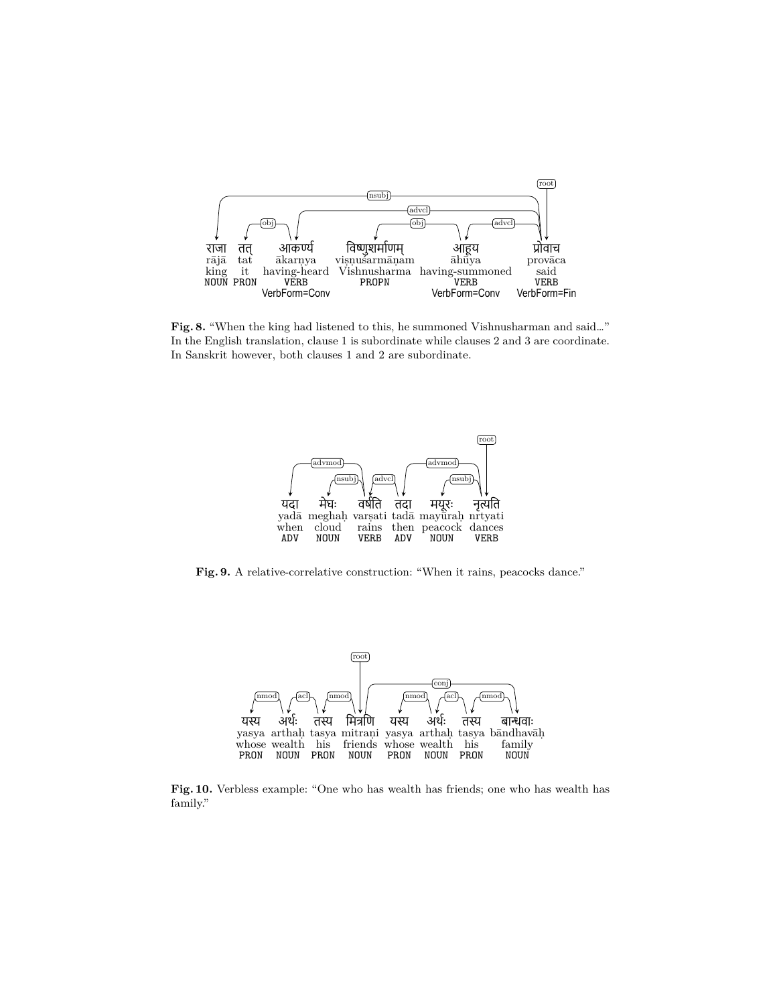

**Fig. 8.** "When the king had listened to this, he summoned Vishnusharman and said…" In the English translation, clause 1 is subordinate while clauses 2 and 3 are coordinate. In Sanskrit however, both clauses 1 and 2 are subordinate.



Fig. 9. A relative-correlative construction: "When it rains, peacocks dance."



**Fig. 10.** Verbless example: "One who has wealth has friends; one who has wealth has family."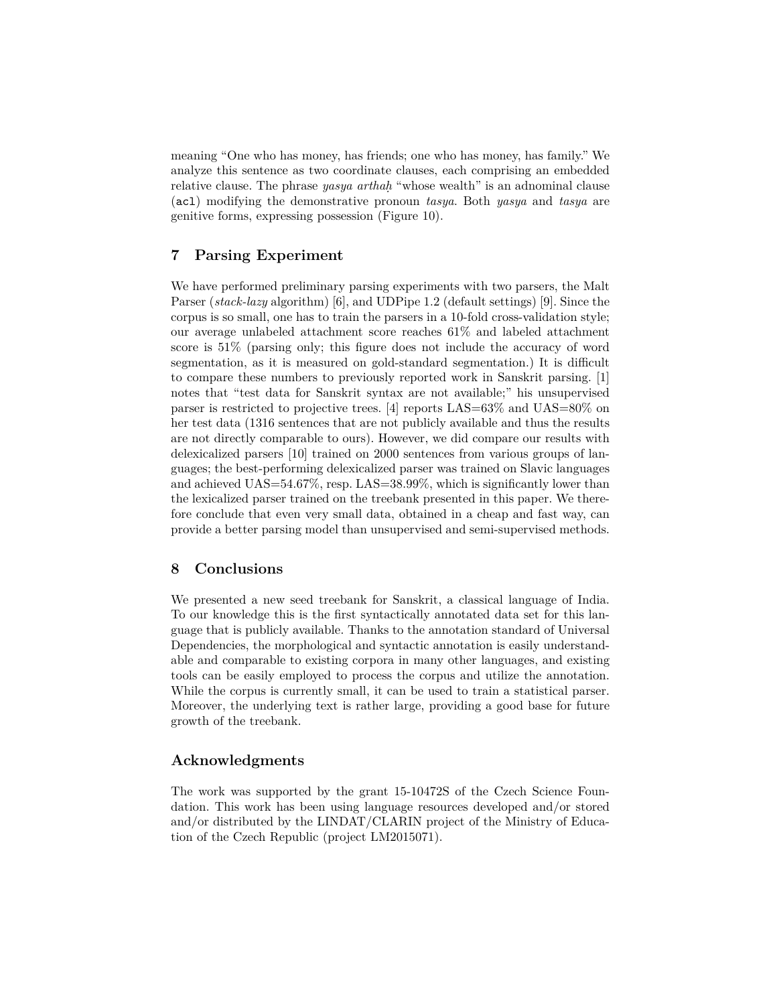meaning "One who has money, has friends; one who has money, has family." We analyze this sentence as two coordinate clauses, each comprising an embedded relative clause. The phrase *yasya arthaḥ* "whose wealth" is an adnominal clause (acl) modifying the demonstrative pronoun *tasya*. Both *yasya* and *tasya* are genitive forms, expressing possession (Figure 10).

# **7 Parsing Experiment**

We have performed preliminary parsing experiments with two parsers, the Malt Parser (*stack-lazy* algorithm) [6], and UDPipe 1.2 (default settings) [9]. Since the corpus is so small, one has to train the parsers in a 10-fold cross-validation style; our average unlabeled attachment score reaches 61% and labeled attachment score is 51% (parsing only; this figure does not include the accuracy of word segmentation, as it is measured on gold-standard segmentation.) It is difficult to compare these numbers to previously reported work in Sanskrit parsing. [1] notes that "test data for Sanskrit syntax are not available;" his unsupervised parser is restricted to projective trees. [4] reports LAS=63% and UAS=80% on her test data (1316 sentences that are not publicly available and thus the results are not directly comparable to ours). However, we did compare our results with delexicalized parsers [10] trained on 2000 sentences from various groups of languages; the best-performing delexicalized parser was trained on Slavic languages and achieved UAS=54.67%, resp. LAS=38.99%, which is significantly lower than the lexicalized parser trained on the treebank presented in this paper. We therefore conclude that even very small data, obtained in a cheap and fast way, can provide a better parsing model than unsupervised and semi-supervised methods.

## **8 Conclusions**

We presented a new seed treebank for Sanskrit, a classical language of India. To our knowledge this is the first syntactically annotated data set for this language that is publicly available. Thanks to the annotation standard of Universal Dependencies, the morphological and syntactic annotation is easily understandable and comparable to existing corpora in many other languages, and existing tools can be easily employed to process the corpus and utilize the annotation. While the corpus is currently small, it can be used to train a statistical parser. Moreover, the underlying text is rather large, providing a good base for future growth of the treebank.

## **Acknowledgments**

The work was supported by the grant 15-10472S of the Czech Science Foundation. This work has been using language resources developed and/or stored and/or distributed by the LINDAT/CLARIN project of the Ministry of Education of the Czech Republic (project LM2015071).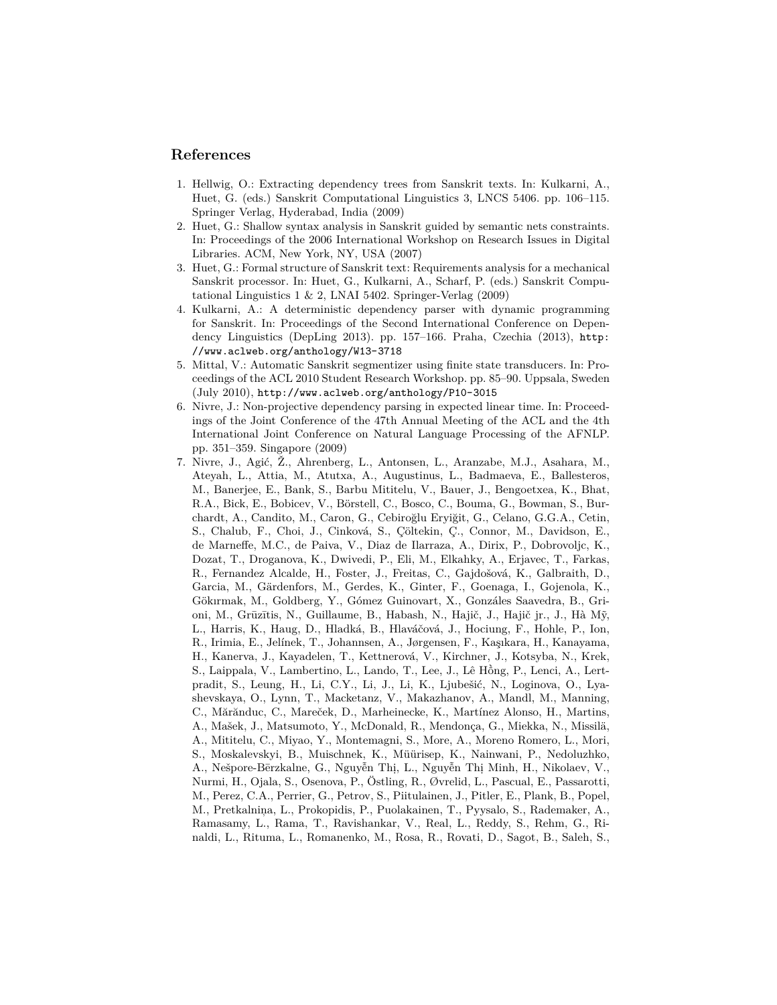#### **References**

- 1. Hellwig, O.: Extracting dependency trees from Sanskrit texts. In: Kulkarni, A., Huet, G. (eds.) Sanskrit Computational Linguistics 3, LNCS 5406. pp. 106–115. Springer Verlag, Hyderabad, India (2009)
- 2. Huet, G.: Shallow syntax analysis in Sanskrit guided by semantic nets constraints. In: Proceedings of the 2006 International Workshop on Research Issues in Digital Libraries. ACM, New York, NY, USA (2007)
- 3. Huet, G.: Formal structure of Sanskrit text: Requirements analysis for a mechanical Sanskrit processor. In: Huet, G., Kulkarni, A., Scharf, P. (eds.) Sanskrit Computational Linguistics  $1 \& 2$ , LNAI 5402. Springer-Verlag (2009)
- 4. Kulkarni, A.: A deterministic dependency parser with dynamic programming for Sanskrit. In: Proceedings of the Second International Conference on Dependency Linguistics (DepLing 2013). pp. 157–166. Praha, Czechia (2013), http: //www.aclweb.org/anthology/W13-3718
- 5. Mittal, V.: Automatic Sanskrit segmentizer using finite state transducers. In: Proceedings of the ACL 2010 Student Research Workshop. pp. 85–90. Uppsala, Sweden (July 2010), http://www.aclweb.org/anthology/P10-3015
- 6. Nivre, J.: Non-projective dependency parsing in expected linear time. In: Proceedings of the Joint Conference of the 47th Annual Meeting of the ACL and the 4th International Joint Conference on Natural Language Processing of the AFNLP. pp. 351–359. Singapore (2009)
- 7. Nivre, J., Agić, Ž., Ahrenberg, L., Antonsen, L., Aranzabe, M.J., Asahara, M., Ateyah, L., Attia, M., Atutxa, A., Augustinus, L., Badmaeva, E., Ballesteros, M., Banerjee, E., Bank, S., Barbu Mititelu, V., Bauer, J., Bengoetxea, K., Bhat, R.A., Bick, E., Bobicev, V., Börstell, C., Bosco, C., Bouma, G., Bowman, S., Burchardt, A., Candito, M., Caron, G., Cebiroğlu Eryiğit, G., Celano, G.G.A., Cetin, S., Chalub, F., Choi, J., Cinková, S., Çöltekin, Ç., Connor, M., Davidson, E., de Marneffe, M.C., de Paiva, V., Diaz de Ilarraza, A., Dirix, P., Dobrovoljc, K., Dozat, T., Droganova, K., Dwivedi, P., Eli, M., Elkahky, A., Erjavec, T., Farkas, R., Fernandez Alcalde, H., Foster, J., Freitas, C., Gajdošová, K., Galbraith, D., Garcia, M., Gärdenfors, M., Gerdes, K., Ginter, F., Goenaga, I., Gojenola, K., Gökırmak, M., Goldberg, Y., Gómez Guinovart, X., Gonzáles Saavedra, B., Grioni, M., Grūzītis, N., Guillaume, B., Habash, N., Hajič, J., Hajič jr., J., Hà Mỹ, L., Harris, K., Haug, D., Hladká, B., Hlaváčová, J., Hociung, F., Hohle, P., Ion, R., Irimia, E., Jelínek, T., Johannsen, A., Jørgensen, F., Kaşıkara, H., Kanayama, H., Kanerva, J., Kayadelen, T., Kettnerová, V., Kirchner, J., Kotsyba, N., Krek, S., Laippala, V., Lambertino, L., Lando, T., Lee, J., Lê Hồng, P., Lenci, A., Lertpradit, S., Leung, H., Li, C.Y., Li, J., Li, K., Ljubešić, N., Loginova, O., Lyashevskaya, O., Lynn, T., Macketanz, V., Makazhanov, A., Mandl, M., Manning, C., Mărănduc, C., Mareček, D., Marheinecke, K., Martínez Alonso, H., Martins, A., Mašek, J., Matsumoto, Y., McDonald, R., Mendonça, G., Miekka, N., Missilä, A., Mititelu, C., Miyao, Y., Montemagni, S., More, A., Moreno Romero, L., Mori, S., Moskalevskyi, B., Muischnek, K., Müürisep, K., Nainwani, P., Nedoluzhko, A., Nešpore-Bērzkalne, G., Nguyễn Thị, L., Nguyễn Thị Minh, H., Nikolaev, V., Nurmi, H., Ojala, S., Osenova, P., Östling, R., Øvrelid, L., Pascual, E., Passarotti, M., Perez, C.A., Perrier, G., Petrov, S., Piitulainen, J., Pitler, E., Plank, B., Popel, M., Pretkalniņa, L., Prokopidis, P., Puolakainen, T., Pyysalo, S., Rademaker, A., Ramasamy, L., Rama, T., Ravishankar, V., Real, L., Reddy, S., Rehm, G., Rinaldi, L., Rituma, L., Romanenko, M., Rosa, R., Rovati, D., Sagot, B., Saleh, S.,